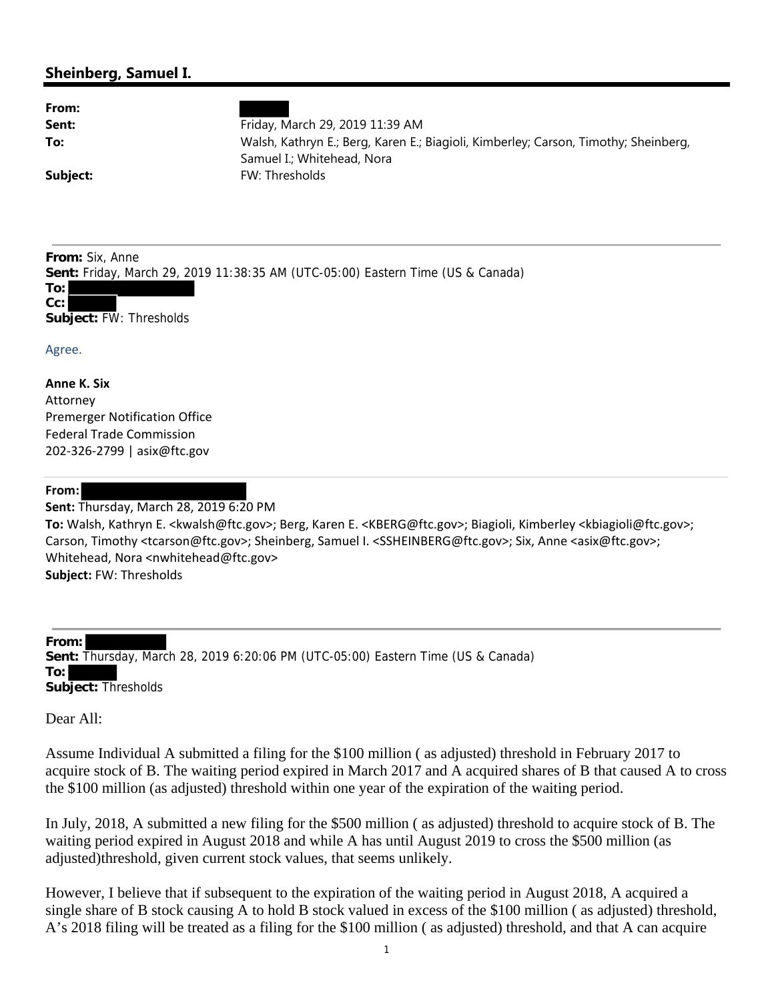## **Sheinberg, Samuel I.**

| From: |  |
|-------|--|
| Sent: |  |
| To:   |  |

**Sent:** Friday, March 29, 2019 11:39 AM **To:** Walsh, Kathryn E.; Berg, Karen E.; Biagioli, Kimberley; Carson, Timothy; Sheinberg, Samuel I.; Whitehead, Nora **Subject:** FW: Thresholds

**From:** Six, Anne **Sent:** Friday, March 29, 2019 11:38:35 AM (UTC-05:00) Eastern Time (US & Canada) **To: Cc: Subject:** FW: Thresholds

Agree.

**Anne K. Six** Attorney Premerger Notification Office Federal Trade Commission 202‐326‐2799 | asix@ftc.gov

## **From:**

**Sent:** Thursday, March 28, 2019 6:20 PM

**To:** Walsh, Kathryn E. <kwalsh@ftc.gov>; Berg, Karen E. <KBERG@ftc.gov>; Biagioli, Kimberley <kbiagioli@ftc.gov>; Carson, Timothy <tcarson@ftc.gov>; Sheinberg, Samuel I. <SSHEINBERG@ftc.gov>; Six, Anne <asix@ftc.gov>; Whitehead, Nora <nwhitehead@ftc.gov> **Subject:** FW: Thresholds

**From: Sent:** Thursday, March 28, 2019 6:20:06 PM (UTC-05:00) Eastern Time (US & Canada) **To: Subject:** Thresholds

Dear All:

Assume Individual A submitted a filing for the \$100 million ( as adjusted) threshold in February 2017 to acquire stock of B. The waiting period expired in March 2017 and A acquired shares of B that caused A to cross the \$100 million (as adjusted) threshold within one year of the expiration of the waiting period.

In July, 2018, A submitted a new filing for the \$500 million ( as adjusted) threshold to acquire stock of B. The waiting period expired in August 2018 and while A has until August 2019 to cross the \$500 million (as adjusted)threshold, given current stock values, that seems unlikely.

However, I believe that if subsequent to the expiration of the waiting period in August 2018, A acquired a single share of B stock causing A to hold B stock valued in excess of the \$100 million ( as adjusted) threshold, A's 2018 filing will be treated as a filing for the \$100 million ( as adjusted) threshold, and that A can acquire